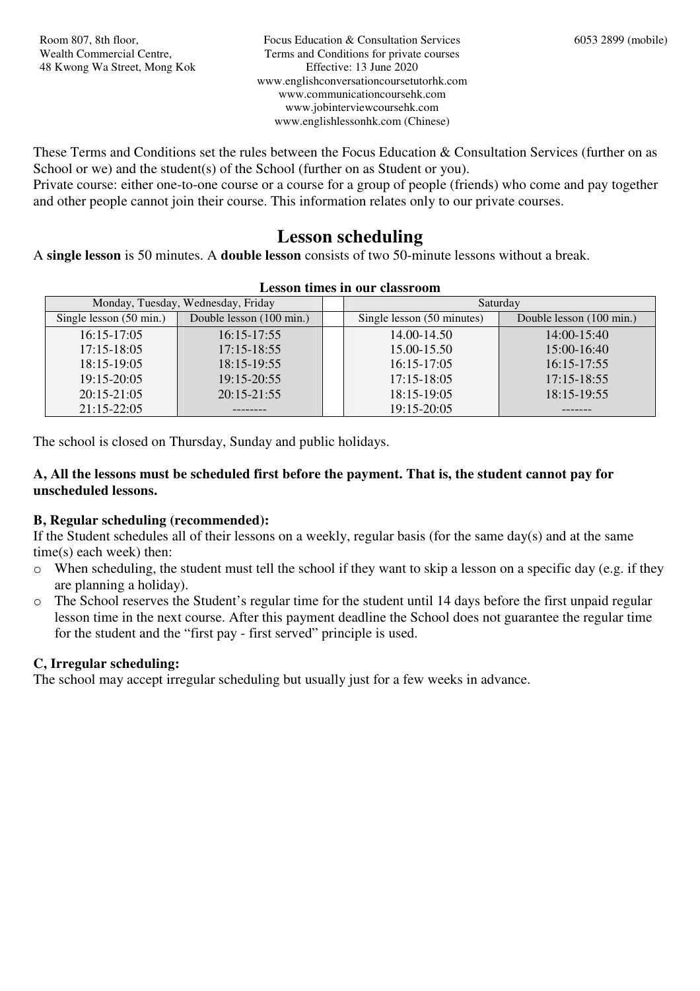These Terms and Conditions set the rules between the Focus Education & Consultation Services (further on as School or we) and the student(s) of the School (further on as Student or you).

Private course: either one-to-one course or a course for a group of people (friends) who come and pay together and other people cannot join their course. This information relates only to our private courses.

## **Lesson scheduling**

A **single lesson** is 50 minutes. A **double lesson** consists of two 50-minute lessons without a break.

| Monday, Tuesday, Wednesday, Friday |                          | Saturday                   |                          |
|------------------------------------|--------------------------|----------------------------|--------------------------|
| Single lesson (50 min.)            | Double lesson (100 min.) | Single lesson (50 minutes) | Double lesson (100 min.) |
| $16:15-17:05$                      | $16:15-17:55$            | 14.00-14.50                | $14:00-15:40$            |
| $17:15 - 18:05$                    | $17:15 - 18:55$          | 15.00-15.50                | $15:00-16:40$            |
| $18:15-19:05$                      | $18:15-19:55$            | $16:15-17:05$              | $16:15-17:55$            |
| 19:15-20:05                        | 19:15-20:55              | $17:15 - 18:05$            | $17:15 - 18:55$          |
| $20:15-21:05$                      | $20:15-21:55$            | $18:15-19:05$              | $18:15-19:55$            |
| $21:15-22:05$                      |                          | $19:15 - 20:05$            |                          |

#### **Lesson times in our classroom**

The school is closed on Thursday, Sunday and public holidays.

#### **A, All the lessons must be scheduled first before the payment. That is, the student cannot pay for unscheduled lessons.**

#### **B, Regular scheduling (recommended):**

If the Student schedules all of their lessons on a weekly, regular basis (for the same day(s) and at the same time(s) each week) then:

- o When scheduling, the student must tell the school if they want to skip a lesson on a specific day (e.g. if they are planning a holiday).
- o The School reserves the Student's regular time for the student until 14 days before the first unpaid regular lesson time in the next course. After this payment deadline the School does not guarantee the regular time for the student and the "first pay - first served" principle is used.

#### **C, Irregular scheduling:**

The school may accept irregular scheduling but usually just for a few weeks in advance.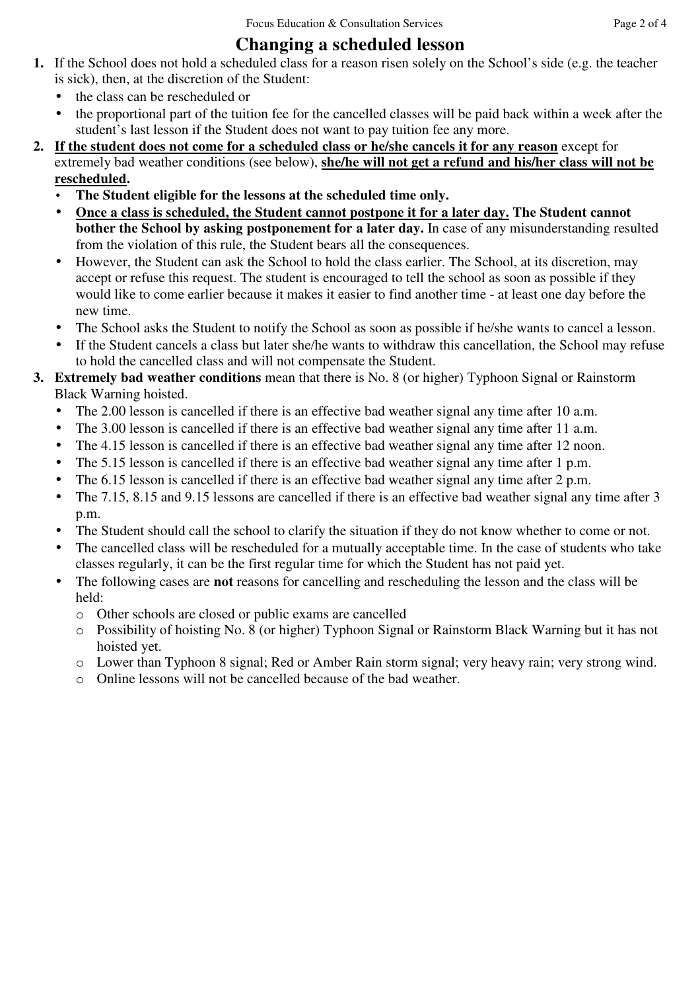# **Changing a scheduled lesson**

- **1.** If the School does not hold a scheduled class for a reason risen solely on the School's side (e.g. the teacher is sick), then, at the discretion of the Student:
	- the class can be rescheduled or
	- the proportional part of the tuition fee for the cancelled classes will be paid back within a week after the student's last lesson if the Student does not want to pay tuition fee any more.
- **2. If the student does not come for a scheduled class or he/she cancels it for any reason** except for extremely bad weather conditions (see below), **she/he will not get a refund and his/her class will not be rescheduled.**
	- **The Student eligible for the lessons at the scheduled time only.**
	- **Once a class is scheduled, the Student cannot postpone it for a later day. The Student cannot bother the School by asking postponement for a later day.** In case of any misunderstanding resulted from the violation of this rule, the Student bears all the consequences.
	- However, the Student can ask the School to hold the class earlier. The School, at its discretion, may accept or refuse this request. The student is encouraged to tell the school as soon as possible if they would like to come earlier because it makes it easier to find another time - at least one day before the new time.
	- The School asks the Student to notify the School as soon as possible if he/she wants to cancel a lesson.
	- If the Student cancels a class but later she/he wants to withdraw this cancellation, the School may refuse to hold the cancelled class and will not compensate the Student.
- **3. Extremely bad weather conditions** mean that there is No. 8 (or higher) Typhoon Signal or Rainstorm Black Warning hoisted.
	- The 2.00 lesson is cancelled if there is an effective bad weather signal any time after 10 a.m.
	- The 3.00 lesson is cancelled if there is an effective bad weather signal any time after 11 a.m.
	- The 4.15 lesson is cancelled if there is an effective bad weather signal any time after 12 noon.
	- The 5.15 lesson is cancelled if there is an effective bad weather signal any time after 1 p.m.
	- The 6.15 lesson is cancelled if there is an effective bad weather signal any time after 2 p.m.
	- The 7.15, 8.15 and 9.15 lessons are cancelled if there is an effective bad weather signal any time after 3 p.m.
	- The Student should call the school to clarify the situation if they do not know whether to come or not.
	- The cancelled class will be rescheduled for a mutually acceptable time. In the case of students who take classes regularly, it can be the first regular time for which the Student has not paid yet.
	- The following cases are **not** reasons for cancelling and rescheduling the lesson and the class will be held:
		- o Other schools are closed or public exams are cancelled
		- o Possibility of hoisting No. 8 (or higher) Typhoon Signal or Rainstorm Black Warning but it has not hoisted yet.
		- o Lower than Typhoon 8 signal; Red or Amber Rain storm signal; very heavy rain; very strong wind.
		- o Online lessons will not be cancelled because of the bad weather.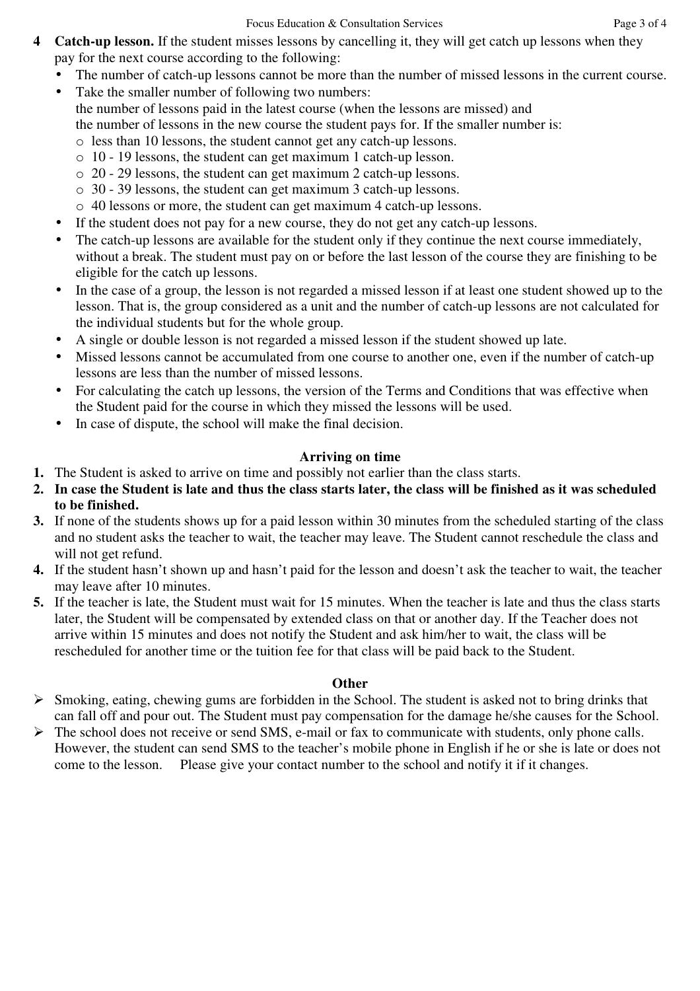- **4 Catch-up lesson.** If the student misses lessons by cancelling it, they will get catch up lessons when they pay for the next course according to the following:
	- The number of catch-up lessons cannot be more than the number of missed lessons in the current course.
	- Take the smaller number of following two numbers: the number of lessons paid in the latest course (when the lessons are missed) and the number of lessons in the new course the student pays for. If the smaller number is:
		- o less than 10 lessons, the student cannot get any catch-up lessons. o 10 - 19 lessons, the student can get maximum 1 catch-up lesson.
		- o 20 29 lessons, the student can get maximum 2 catch-up lessons.
		- o 30 39 lessons, the student can get maximum 3 catch-up lessons.
		- o 40 lessons or more, the student can get maximum 4 catch-up lessons.
	- If the student does not pay for a new course, they do not get any catch-up lessons.
	- The catch-up lessons are available for the student only if they continue the next course immediately, without a break. The student must pay on or before the last lesson of the course they are finishing to be eligible for the catch up lessons.
	- In the case of a group, the lesson is not regarded a missed lesson if at least one student showed up to the lesson. That is, the group considered as a unit and the number of catch-up lessons are not calculated for the individual students but for the whole group.
	- A single or double lesson is not regarded a missed lesson if the student showed up late.
	- Missed lessons cannot be accumulated from one course to another one, even if the number of catch-up lessons are less than the number of missed lessons.
	- For calculating the catch up lessons, the version of the Terms and Conditions that was effective when the Student paid for the course in which they missed the lessons will be used.
	- In case of dispute, the school will make the final decision.

## **Arriving on time**

- **1.** The Student is asked to arrive on time and possibly not earlier than the class starts.
- **2. In case the Student is late and thus the class starts later, the class will be finished as it was scheduled to be finished.**
- **3.** If none of the students shows up for a paid lesson within 30 minutes from the scheduled starting of the class and no student asks the teacher to wait, the teacher may leave. The Student cannot reschedule the class and will not get refund.
- **4.** If the student hasn't shown up and hasn't paid for the lesson and doesn't ask the teacher to wait, the teacher may leave after 10 minutes.
- **5.** If the teacher is late, the Student must wait for 15 minutes. When the teacher is late and thus the class starts later, the Student will be compensated by extended class on that or another day. If the Teacher does not arrive within 15 minutes and does not notify the Student and ask him/her to wait, the class will be rescheduled for another time or the tuition fee for that class will be paid back to the Student.

## **Other**

- $\triangleright$  Smoking, eating, chewing gums are forbidden in the School. The student is asked not to bring drinks that can fall off and pour out. The Student must pay compensation for the damage he/she causes for the School.
- $\triangleright$  The school does not receive or send SMS, e-mail or fax to communicate with students, only phone calls. However, the student can send SMS to the teacher's mobile phone in English if he or she is late or does not come to the lesson. Please give your contact number to the school and notify it if it changes.